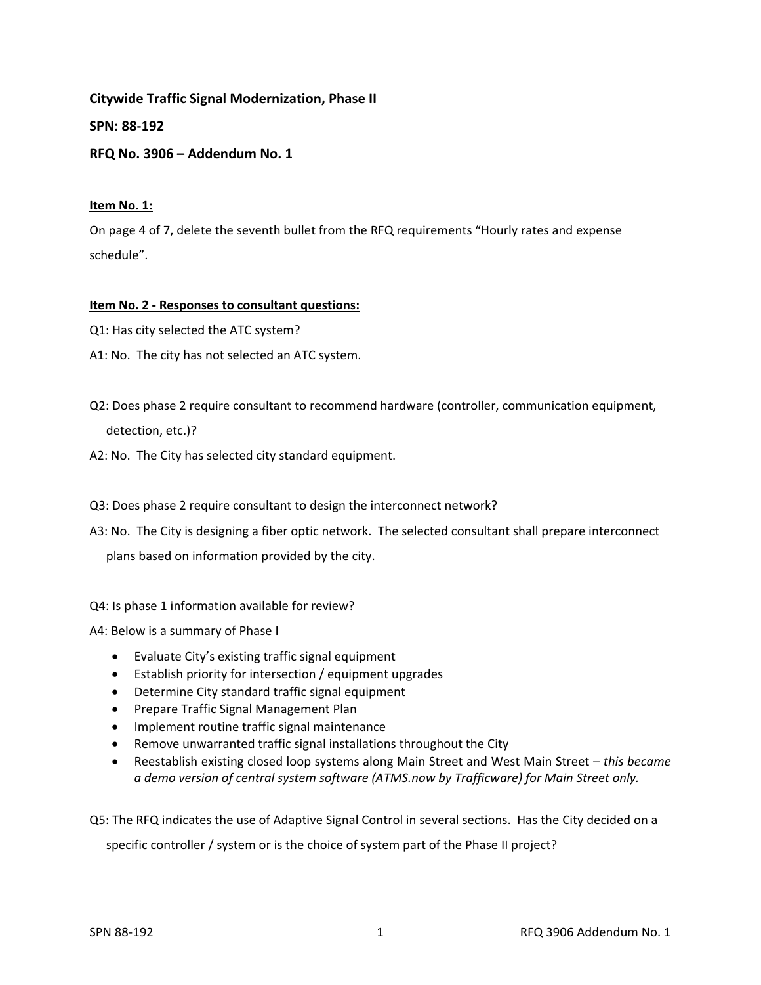**Citywide Traffic Signal Modernization, Phase II** 

**SPN: 88‐192** 

**RFQ No. 3906 – Addendum No. 1** 

## **Item No. 1:**

On page 4 of 7, delete the seventh bullet from the RFQ requirements "Hourly rates and expense schedule".

## **Item No. 2 ‐ Responses to consultant questions:**

- Q1: Has city selected the ATC system?
- A1: No. The city has not selected an ATC system.
- Q2: Does phase 2 require consultant to recommend hardware (controller, communication equipment, detection, etc.)?
- A2: No. The City has selected city standard equipment.

Q3: Does phase 2 require consultant to design the interconnect network?

A3: No. The City is designing a fiber optic network. The selected consultant shall prepare interconnect plans based on information provided by the city.

Q4: Is phase 1 information available for review?

A4: Below is a summary of Phase I

- Evaluate City's existing traffic signal equipment
- Establish priority for intersection / equipment upgrades
- Determine City standard traffic signal equipment
- Prepare Traffic Signal Management Plan
- Implement routine traffic signal maintenance
- Remove unwarranted traffic signal installations throughout the City
- Reestablish existing closed loop systems along Main Street and West Main Street *this became a demo version of central system software (ATMS.now by Trafficware) for Main Street only.*

Q5: The RFQ indicates the use of Adaptive Signal Control in several sections. Has the City decided on a specific controller / system or is the choice of system part of the Phase II project?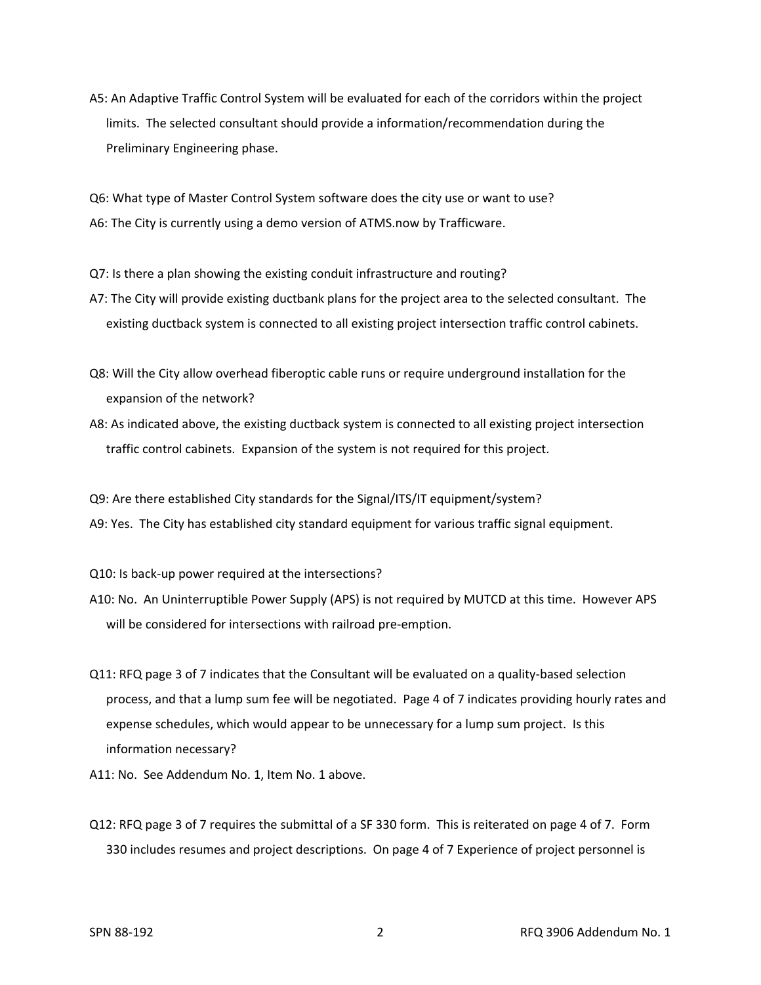A5: An Adaptive Traffic Control System will be evaluated for each of the corridors within the project limits. The selected consultant should provide a information/recommendation during the Preliminary Engineering phase.

Q6: What type of Master Control System software does the city use or want to use? A6: The City is currently using a demo version of ATMS.now by Trafficware.

Q7: Is there a plan showing the existing conduit infrastructure and routing?

- A7: The City will provide existing ductbank plans for the project area to the selected consultant. The existing ductback system is connected to all existing project intersection traffic control cabinets.
- Q8: Will the City allow overhead fiberoptic cable runs or require underground installation for the expansion of the network?
- A8: As indicated above, the existing ductback system is connected to all existing project intersection traffic control cabinets. Expansion of the system is not required for this project.

Q9: Are there established City standards for the Signal/ITS/IT equipment/system? A9: Yes. The City has established city standard equipment for various traffic signal equipment.

Q10: Is back-up power required at the intersections?

- A10: No. An Uninterruptible Power Supply (APS) is not required by MUTCD at this time. However APS will be considered for intersections with railroad pre-emption.
- Q11: RFQ page 3 of 7 indicates that the Consultant will be evaluated on a quality-based selection process, and that a lump sum fee will be negotiated. Page 4 of 7 indicates providing hourly rates and expense schedules, which would appear to be unnecessary for a lump sum project. Is this information necessary?
- A11: No. See Addendum No. 1, Item No. 1 above.
- Q12: RFQ page 3 of 7 requires the submittal of a SF 330 form. This is reiterated on page 4 of 7. Form 330 includes resumes and project descriptions. On page 4 of 7 Experience of project personnel is